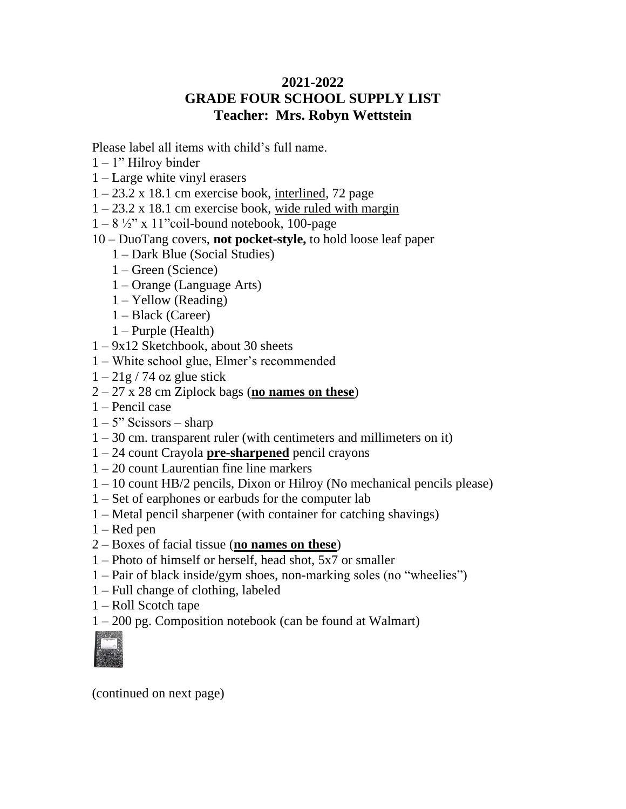## **2021-2022 GRADE FOUR SCHOOL SUPPLY LIST Teacher: Mrs. Robyn Wettstein**

Please label all items with child's full name.

- $1 1$ " Hilroy binder
- 1 Large white vinyl erasers
- $1 23.2$  x 18.1 cm exercise book, interlined, 72 page
- $1 23.2 \times 18.1$  cm exercise book, wide ruled with margin
- $1 8 \frac{1}{2}$ " x 11"coil-bound notebook, 100-page
- 10 DuoTang covers, **not pocket-style,** to hold loose leaf paper
	- 1 Dark Blue (Social Studies)
	- 1 Green (Science)
	- 1 Orange (Language Arts)
	- 1 Yellow (Reading)
	- 1 Black (Career)
	- 1 Purple (Health)
- 1 9x12 Sketchbook, about 30 sheets
- 1 White school glue, Elmer's recommended
- $1 21g / 74$  oz glue stick
- 2 27 x 28 cm Ziplock bags (**no names on these**)
- 1 Pencil case
- $1 5$ " Scissors sharp
- 1 30 cm. transparent ruler (with centimeters and millimeters on it)
- 1 24 count Crayola **pre-sharpened** pencil crayons
- 1 20 count Laurentian fine line markers
- 1 10 count HB/2 pencils, Dixon or Hilroy (No mechanical pencils please)
- 1 Set of earphones or earbuds for the computer lab
- 1 Metal pencil sharpener (with container for catching shavings)
- $1 -$ Red pen
- 2 Boxes of facial tissue (**no names on these**)
- 1 Photo of himself or herself, head shot, 5x7 or smaller
- 1 Pair of black inside/gym shoes, non-marking soles (no "wheelies")
- 1 Full change of clothing, labeled
- 1 Roll Scotch tape
- 1 200 pg. Composition notebook (can be found at Walmart)



(continued on next page)